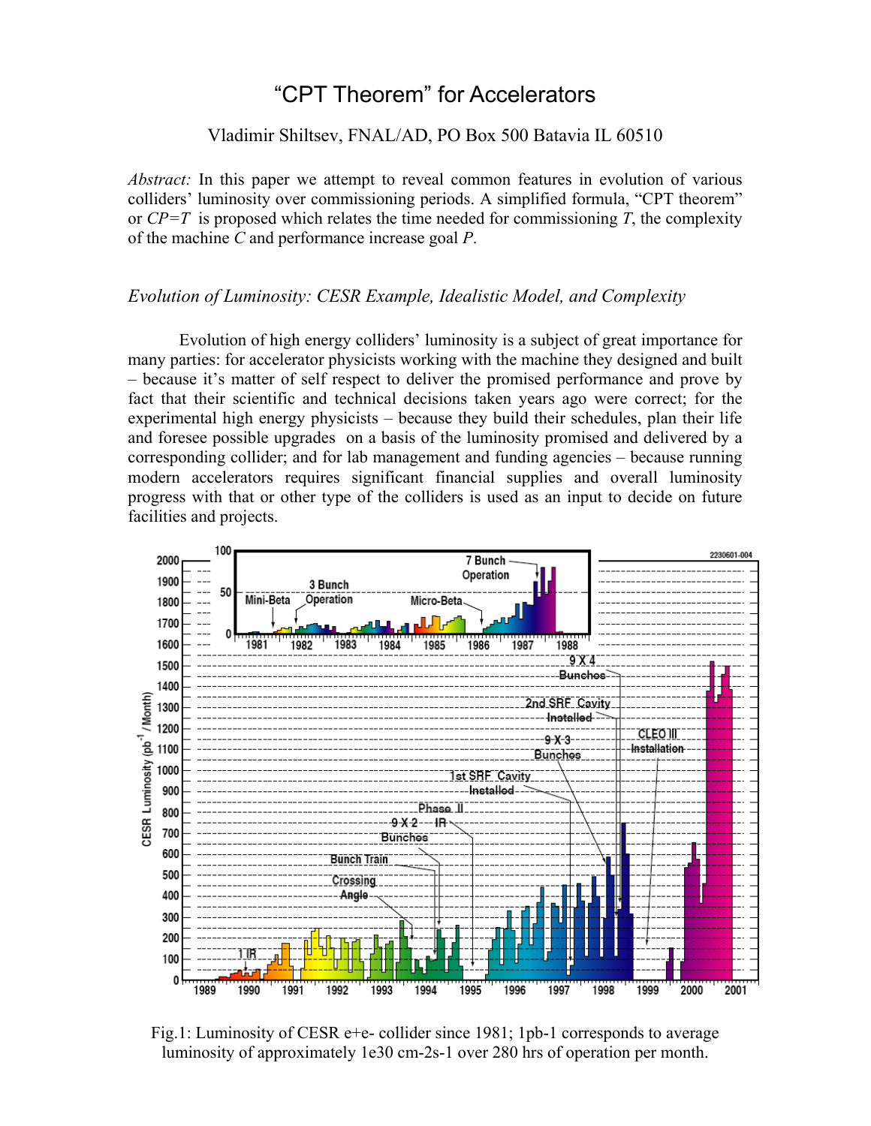# "CPT Theorem" for Accelerators

### Vladimir Shiltsev, FNAL/AD, PO Box 500 Batavia IL 60510

*Abstract:* In this paper we attempt to reveal common features in evolution of various colliders' luminosity over commissioning periods. A simplified formula, "CPT theorem" or  $\mathbb{CP}=\mathbb{Z}$  is proposed which relates the time needed for commissioning  $\mathbb{Z}$ , the complexity of the machine *C* and performance increase goal *P*.

#### *Evolution of Luminosity: CESR Example, Idealistic Model, and Complexity*

Evolution of high energy colliders' luminosity is a subject of great importance for many parties: for accelerator physicists working with the machine they designed and built – because it's matter of self respect to deliver the promised performance and prove by fact that their scientific and technical decisions taken years ago were correct; for the experimental high energy physicists – because they build their schedules, plan their life and foresee possible upgrades on a basis of the luminosity promised and delivered by a corresponding collider; and for lab management and funding agencies – because running modern accelerators requires significant financial supplies and overall luminosity progress with that or other type of the colliders is used as an input to decide on future facilities and projects.



Fig.1: Luminosity of CESR e+e- collider since 1981; 1pb-1 corresponds to average luminosity of approximately 1e30 cm-2s-1 over 280 hrs of operation per month.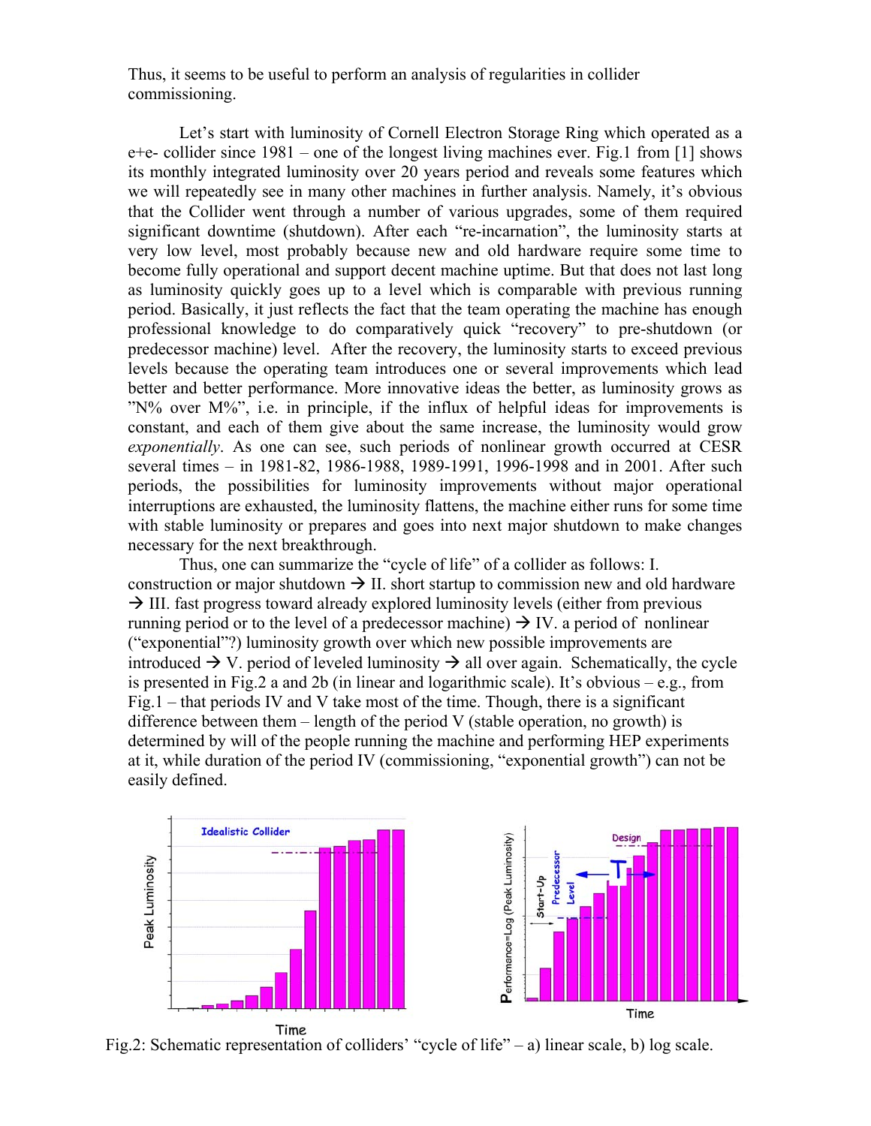Thus, it seems to be useful to perform an analysis of regularities in collider commissioning.

Let's start with luminosity of Cornell Electron Storage Ring which operated as a e+e- collider since 1981 – one of the longest living machines ever. Fig.1 from [1] shows its monthly integrated luminosity over 20 years period and reveals some features which we will repeatedly see in many other machines in further analysis. Namely, it's obvious that the Collider went through a number of various upgrades, some of them required significant downtime (shutdown). After each "re-incarnation", the luminosity starts at very low level, most probably because new and old hardware require some time to become fully operational and support decent machine uptime. But that does not last long as luminosity quickly goes up to a level which is comparable with previous running period. Basically, it just reflects the fact that the team operating the machine has enough professional knowledge to do comparatively quick "recovery" to pre-shutdown (or predecessor machine) level. After the recovery, the luminosity starts to exceed previous levels because the operating team introduces one or several improvements which lead better and better performance. More innovative ideas the better, as luminosity grows as "N% over M%", i.e. in principle, if the influx of helpful ideas for improvements is constant, and each of them give about the same increase, the luminosity would grow *exponentially*. As one can see, such periods of nonlinear growth occurred at CESR several times – in 1981-82, 1986-1988, 1989-1991, 1996-1998 and in 2001. After such periods, the possibilities for luminosity improvements without major operational interruptions are exhausted, the luminosity flattens, the machine either runs for some time with stable luminosity or prepares and goes into next major shutdown to make changes necessary for the next breakthrough.

Thus, one can summarize the "cycle of life" of a collider as follows: I. construction or major shutdown  $\rightarrow$  II. short startup to commission new and old hardware  $\rightarrow$  III. fast progress toward already explored luminosity levels (either from previous running period or to the level of a predecessor machine)  $\rightarrow$  IV. a period of nonlinear ("exponential"?) luminosity growth over which new possible improvements are introduced  $\rightarrow$  V. period of leveled luminosity  $\rightarrow$  all over again. Schematically, the cycle is presented in Fig.2 a and 2b (in linear and logarithmic scale). It's obvious – e.g., from Fig.1 – that periods IV and V take most of the time. Though, there is a significant difference between them  $-$  length of the period V (stable operation, no growth) is determined by will of the people running the machine and performing HEP experiments at it, while duration of the period IV (commissioning, "exponential growth") can not be easily defined.



Fig.2: Schematic representation of colliders' "cycle of life" – a) linear scale, b) log scale.

Time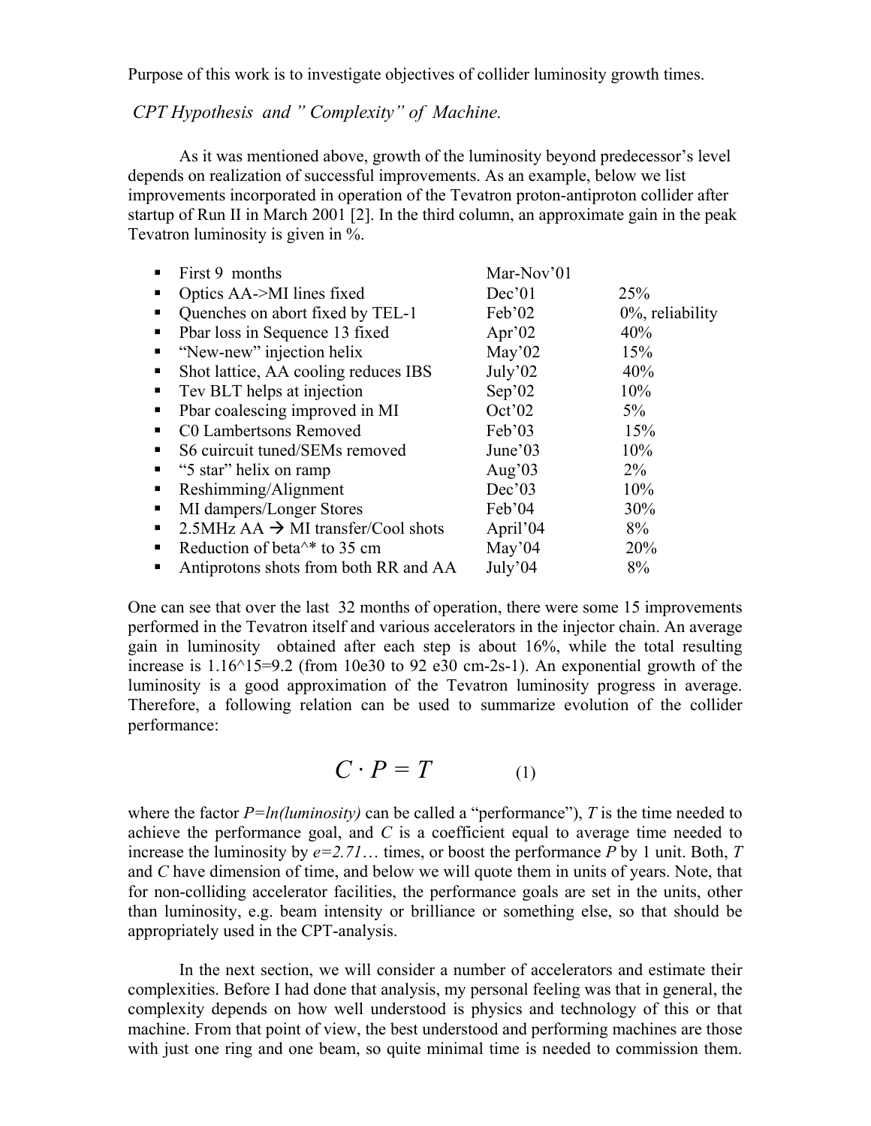Purpose of this work is to investigate objectives of collider luminosity growth times.

## *CPT Hypothesis and " Complexity" of Machine.*

As it was mentioned above, growth of the luminosity beyond predecessor's level depends on realization of successful improvements. As an example, below we list improvements incorporated in operation of the Tevatron proton-antiproton collider after startup of Run II in March 2001 [2]. In the third column, an approximate gain in the peak Tevatron luminosity is given in %.

|    | First 9 months                                             | Mar-Nov'01 |                     |
|----|------------------------------------------------------------|------------|---------------------|
|    | Optics AA->MI lines fixed                                  | Dec'01     | <b>25%</b>          |
| п  | Quenches on abort fixed by TEL-1                           | Feb'02     | $0\%$ , reliability |
| ٠  | Pbar loss in Sequence 13 fixed                             | Apr' $02$  | 40%                 |
|    | "New-new" injection helix                                  | May'02     | 15%                 |
| п  | Shot lattice, AA cooling reduces IBS                       | July'02    | 40%                 |
| ٠  | Tev BLT helps at injection                                 | Sep'02     | 10%                 |
| п  | Pbar coalescing improved in MI                             | Oct'02     | $5\%$               |
|    | C0 Lambertsons Removed                                     | Feb'03     | 15%                 |
| ٠  | S6 cuircuit tuned/SEMs removed                             | June'03    | 10%                 |
| п. | "5 star" helix on ramp                                     | Aug' $03$  | $2\%$               |
|    | Reshimming/Alignment                                       | Dec'03     | 10%                 |
| п  | MI dampers/Longer Stores                                   | Feb'04     | 30%                 |
| п. | $2.5$ MHz AA $\rightarrow$ MI transfer/Cool shots          | April'04   | 8%                  |
| п  | Reduction of beta <sup><math>\wedge</math>*</sup> to 35 cm | May'04     | 20%                 |
|    | Antiprotons shots from both RR and AA                      | July'04    | 8%                  |

One can see that over the last 32 months of operation, there were some 15 improvements performed in the Tevatron itself and various accelerators in the injector chain. An average gain in luminosity obtained after each step is about 16%, while the total resulting increase is  $1.16^{\text{th}}$  =9.2 (from 10e30 to 92 e30 cm-2s-1). An exponential growth of the luminosity is a good approximation of the Tevatron luminosity progress in average. Therefore, a following relation can be used to summarize evolution of the collider performance:

$$
C \cdot P = T \tag{1}
$$

where the factor  $P = ln(luminosity)$  can be called a "performance"), *T* is the time needed to achieve the performance goal, and *C* is a coefficient equal to average time needed to increase the luminosity by  $e=2.71...$  times, or boost the performance *P* by 1 unit. Both, *T* and *C* have dimension of time, and below we will quote them in units of years. Note, that for non-colliding accelerator facilities, the performance goals are set in the units, other than luminosity, e.g. beam intensity or brilliance or something else, so that should be appropriately used in the CPT-analysis.

In the next section, we will consider a number of accelerators and estimate their complexities. Before I had done that analysis, my personal feeling was that in general, the complexity depends on how well understood is physics and technology of this or that machine. From that point of view, the best understood and performing machines are those with just one ring and one beam, so quite minimal time is needed to commission them.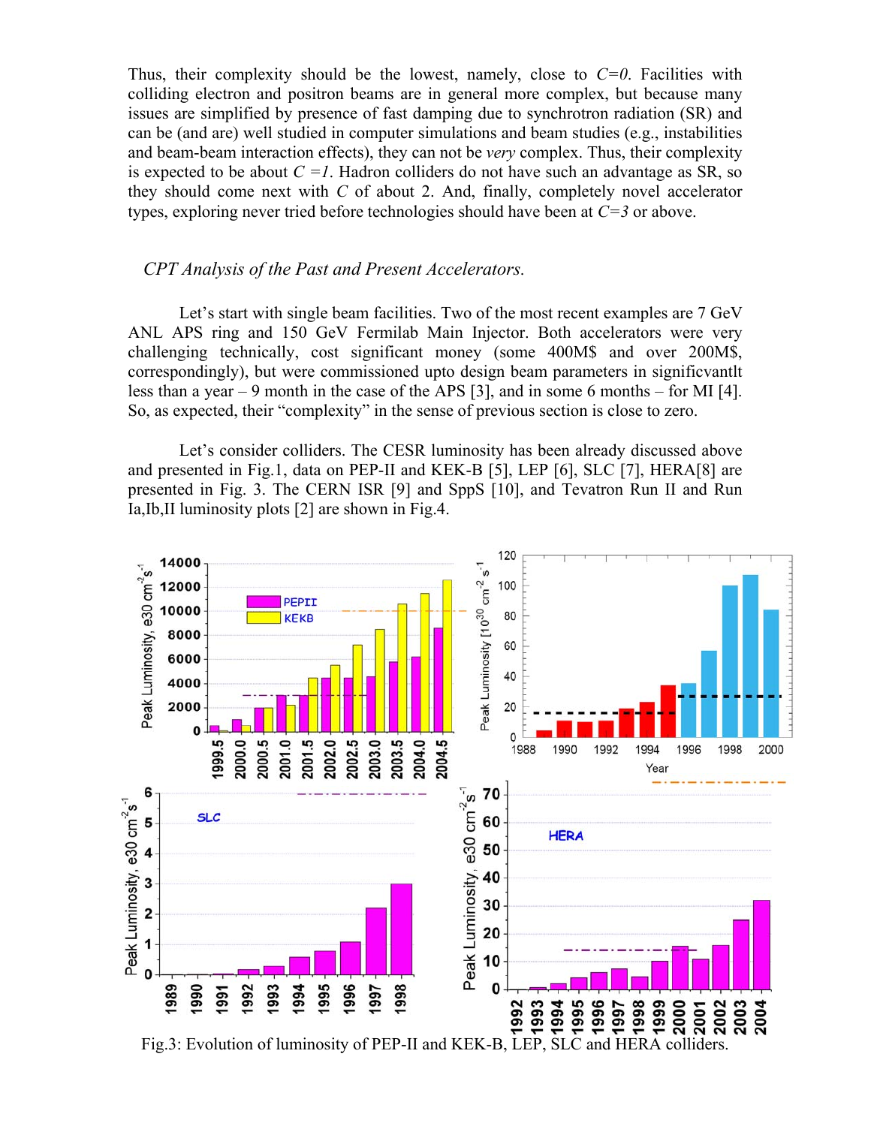Thus, their complexity should be the lowest, namely, close to  $C=0$ . Facilities with colliding electron and positron beams are in general more complex, but because many issues are simplified by presence of fast damping due to synchrotron radiation (SR) and can be (and are) well studied in computer simulations and beam studies (e.g., instabilities and beam-beam interaction effects), they can not be *very* complex. Thus, their complexity is expected to be about  $C = I$ . Hadron colliders do not have such an advantage as SR, so they should come next with *C* of about 2. And, finally, completely novel accelerator types, exploring never tried before technologies should have been at *C=3* or above.

#### *CPT Analysis of the Past and Present Accelerators.*

Let's start with single beam facilities. Two of the most recent examples are 7 GeV ANL APS ring and 150 GeV Fermilab Main Injector. Both accelerators were very challenging technically, cost significant money (some 400M\$ and over 200M\$, correspondingly), but were commissioned upto design beam parameters in significvantlt less than a year – 9 month in the case of the APS [3], and in some 6 months – for MI [4]. So, as expected, their "complexity" in the sense of previous section is close to zero.

Let's consider colliders. The CESR luminosity has been already discussed above and presented in Fig.1, data on PEP-II and KEK-B [5], LEP [6], SLC [7], HERA[8] are presented in Fig. 3. The CERN ISR [9] and SppS [10], and Tevatron Run II and Run Ia,Ib,II luminosity plots [2] are shown in Fig.4.

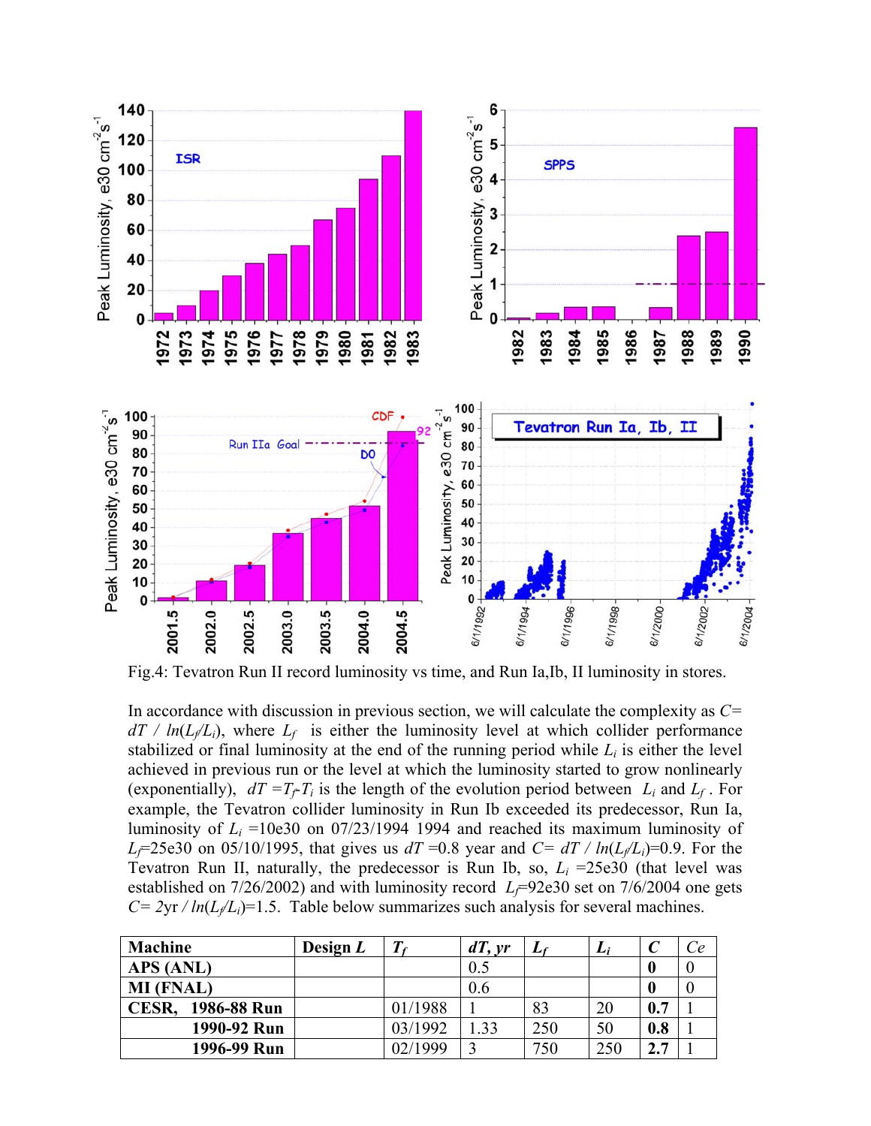

Fig.4: Tevatron Run II record luminosity vs time, and Run Ia,Ib, II luminosity in stores.

In accordance with discussion in previous section, we will calculate the complexity as *C=*  $dT / ln(L_f/L_i)$ , where  $L_f$  is either the luminosity level at which collider performance stabilized or final luminosity at the end of the running period while  $L_i$  is either the level achieved in previous run or the level at which the luminosity started to grow nonlinearly (exponentially),  $dT = T_f T_i$  is the length of the evolution period between  $L_i$  and  $L_f$ . For example, the Tevatron collider luminosity in Run Ib exceeded its predecessor, Run Ia, luminosity of  $L<sub>i</sub> = 10e30$  on 07/23/1994 1994 and reached its maximum luminosity of *L<sub>f</sub>*=25e30 on 05/10/1995, that gives us  $dT = 0.8$  year and  $C = dT / ln(L_f/L_i)=0.9$ . For the Tevatron Run II, naturally, the predecessor is Run Ib, so,  $L<sub>i</sub> = 25e30$  (that level was established on  $7/26/2002$ ) and with luminosity record  $L_f=92e30$  set on  $7/6/2004$  one gets  $C = 2yr / ln(L/L<sub>i</sub>) = 1.5$ . Table below summarizes such analysis for several machines.

| Machine                     | Design $L$ |         | dT, yr | L.  | Li  |                         | Ce |
|-----------------------------|------------|---------|--------|-----|-----|-------------------------|----|
| APS (ANL)                   |            |         | 0.5    |     |     |                         |    |
| <b>MI</b> (FNAL)            |            |         | 0.6    |     |     |                         |    |
| 1986-88 Run<br><b>CESR.</b> |            | 01/1988 |        | 83  | 20  | 0.7                     |    |
| 1990-92 Run                 |            | 03/1992 | .33    | 250 | 50  | 0.8                     |    |
| 1996-99 Run                 |            | 02/1999 |        | 750 | 250 | $\mathbf{\hat{z}}$<br>7 |    |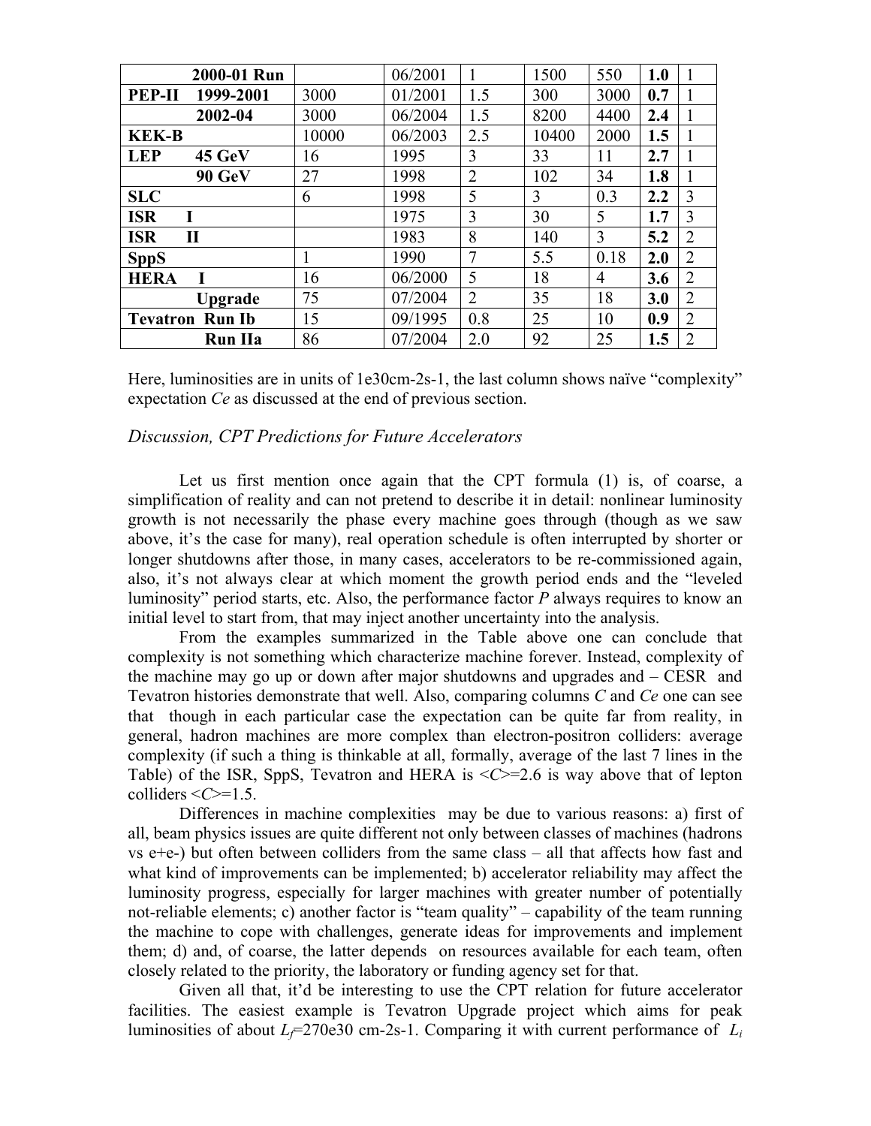| 2000-01 Run                |       | 06/2001 |                | 1500  | 550  | 1.0 |                |
|----------------------------|-------|---------|----------------|-------|------|-----|----------------|
| 1999-2001<br><b>PEP-II</b> | 3000  | 01/2001 | 1.5            | 300   | 3000 | 0.7 |                |
| 2002-04                    | 3000  | 06/2004 | 1.5            | 8200  | 4400 | 2.4 |                |
| <b>KEK-B</b>               | 10000 | 06/2003 | 2.5            | 10400 | 2000 | 1.5 |                |
| <b>LEP</b><br>45 GeV       | 16    | 1995    | 3              | 33    | 11   | 2.7 |                |
| 90 GeV                     | 27    | 1998    | $\overline{2}$ | 102   | 34   | 1.8 |                |
| <b>SLC</b>                 | 6     | 1998    | 5              | 3     | 0.3  | 2.2 | 3              |
| <b>ISR</b><br>I            |       | 1975    | 3              | 30    | 5    | 1.7 | 3              |
| <b>ISR</b><br>$\mathbf{I}$ |       | 1983    | 8              | 140   | 3    | 5.2 | $\overline{2}$ |
| <b>SppS</b>                |       | 1990    | 7              | 5.5   | 0.18 | 2.0 | 2              |
| T<br><b>HERA</b>           | 16    | 06/2000 | 5              | 18    | 4    | 3.6 | 2              |
| Upgrade                    | 75    | 07/2004 | $\overline{2}$ | 35    | 18   | 3.0 | 2              |
| <b>Tevatron Run Ib</b>     | 15    | 09/1995 | 0.8            | 25    | 10   | 0.9 | $\overline{2}$ |
| <b>Run IIa</b>             | 86    | 07/2004 | 2.0            | 92    | 25   | 1.5 | 2              |

Here, luminosities are in units of 1e30cm-2s-1, the last column shows naïve "complexity" expectation *Ce* as discussed at the end of previous section.

#### *Discussion, CPT Predictions for Future Accelerators*

Let us first mention once again that the CPT formula (1) is, of coarse, a simplification of reality and can not pretend to describe it in detail: nonlinear luminosity growth is not necessarily the phase every machine goes through (though as we saw above, it's the case for many), real operation schedule is often interrupted by shorter or longer shutdowns after those, in many cases, accelerators to be re-commissioned again, also, it's not always clear at which moment the growth period ends and the "leveled luminosity" period starts, etc. Also, the performance factor *P* always requires to know an initial level to start from, that may inject another uncertainty into the analysis.

From the examples summarized in the Table above one can conclude that complexity is not something which characterize machine forever. Instead, complexity of the machine may go up or down after major shutdowns and upgrades and – CESR and Tevatron histories demonstrate that well. Also, comparing columns *C* and *Ce* one can see that though in each particular case the expectation can be quite far from reality, in general, hadron machines are more complex than electron-positron colliders: average complexity (if such a thing is thinkable at all, formally, average of the last 7 lines in the Table) of the ISR, SppS, Tevatron and HERA is <*C*>=2.6 is way above that of lepton colliders  $\leq C>=1.5$ .

Differences in machine complexities may be due to various reasons: a) first of all, beam physics issues are quite different not only between classes of machines (hadrons vs e+e-) but often between colliders from the same class – all that affects how fast and what kind of improvements can be implemented; b) accelerator reliability may affect the luminosity progress, especially for larger machines with greater number of potentially not-reliable elements; c) another factor is "team quality" – capability of the team running the machine to cope with challenges, generate ideas for improvements and implement them; d) and, of coarse, the latter depends on resources available for each team, often closely related to the priority, the laboratory or funding agency set for that.

Given all that, it'd be interesting to use the CPT relation for future accelerator facilities. The easiest example is Tevatron Upgrade project which aims for peak luminosities of about  $L_f$ =270e30 cm-2s-1. Comparing it with current performance of  $L_i$